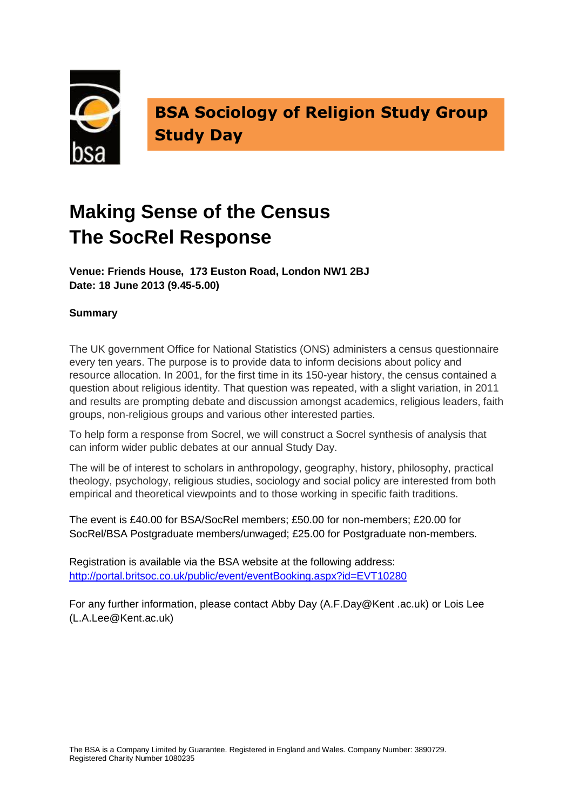

**BSA Sociology of Religion Study Group Study Day**

# **Making Sense of the Census The SocRel Response**

**Venue: Friends House, 173 Euston Road, London NW1 2BJ Date: 18 June 2013 (9.45-5.00)**

## **Summary**

The UK government Office for National Statistics (ONS) administers a census questionnaire every ten years. The purpose is to provide data to inform decisions about policy and resource allocation. In 2001, for the first time in its 150-year history, the census contained a question about religious identity. That question was repeated, with a slight variation, in 2011 and results are prompting debate and discussion amongst academics, religious leaders, faith groups, non-religious groups and various other interested parties.

To help form a response from Socrel, we will construct a Socrel synthesis of analysis that can inform wider public debates at our annual Study Day.

The will be of interest to scholars in anthropology, geography, history, philosophy, practical theology, psychology, religious studies, sociology and social policy are interested from both empirical and theoretical viewpoints and to those working in specific faith traditions.

The event is £40.00 for BSA/SocRel members; £50.00 for non-members; £20.00 for SocRel/BSA Postgraduate members/unwaged: £25.00 for Postgraduate non-members.

Registration is available via the BSA website at the following address: <http://portal.britsoc.co.uk/public/event/eventBooking.aspx?id=EVT10280>

For any further information, please contact Abby Day (A.F.Day@Kent .ac.uk) or Lois Lee (L.A.Lee@Kent.ac.uk)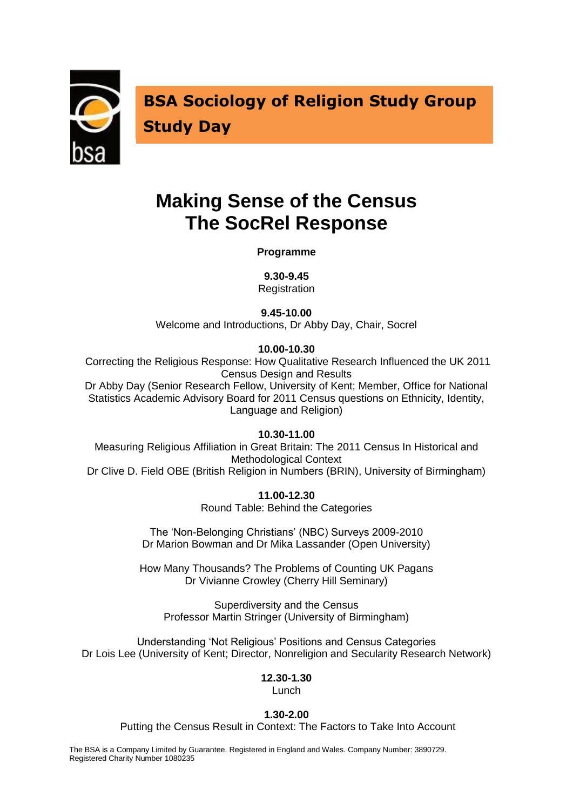

**BSA Sociology of Religion Study Group Study Day**

## **Making Sense of the Census The SocRel Response**

**Programme**

**9.30-9.45**

**Registration** 

**9.45-10.00**

Welcome and Introductions, Dr Abby Day, Chair, Socrel

**10.00-10.30**

Correcting the Religious Response: How Qualitative Research Influenced the UK 2011 Census Design and Results

Dr Abby Day (Senior Research Fellow, University of Kent; Member, Office for National Statistics Academic Advisory Board for 2011 Census questions on Ethnicity, Identity, Language and Religion)

**10.30-11.00**

Measuring Religious Affiliation in Great Britain: The 2011 Census In Historical and Methodological Context Dr Clive D. Field OBE (British Religion in Numbers (BRIN), University of Birmingham)

**11.00-12.30**

Round Table: Behind the Categories

The 'Non-Belonging Christians' (NBC) Surveys 2009-2010 Dr Marion Bowman and Dr Mika Lassander (Open University)

How Many Thousands? The Problems of Counting UK Pagans Dr Vivianne Crowley (Cherry Hill Seminary)

Superdiversity and the Census Professor Martin Stringer (University of Birmingham)

Understanding 'Not Religious' Positions and Census Categories Dr Lois Lee (University of Kent; Director, Nonreligion and Secularity Research Network)

### **12.30-1.30**

Lunch

#### **1.30-2.00**

Putting the Census Result in Context: The Factors to Take Into Account